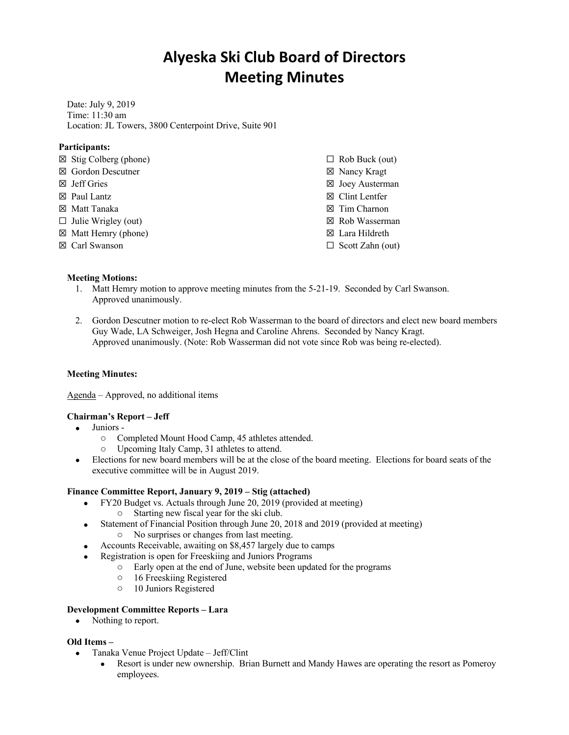# **Alyeska Ski Club Board of Directors Meeting Minutes**

Date: July 9, 2019 Time: 11:30 am Location: JL Towers, 3800 Centerpoint Drive, Suite 901

## **Participants:**

| $\boxtimes$ Stig Colberg (phone) | $\Box$ Rob Buck (out)     |
|----------------------------------|---------------------------|
| $\boxtimes$ Gordon Descutner     | ⊠ Nancy Kragt             |
| $\boxtimes$ Jeff Gries           | ⊠ Joey Austerman          |
| $\boxtimes$ Paul Lantz           | $\boxtimes$ Clint Lentfer |
| ⊠ Matt Tanaka                    | $\boxtimes$ Tim Charnon   |
| $\Box$ Julie Wrigley (out)       | ⊠ Rob Wasserman           |
| $\boxtimes$ Matt Hemry (phone)   | $\boxtimes$ Lara Hildreth |
| $\boxtimes$ Carl Swanson         | $\Box$ Scott Zahn (out)   |
|                                  |                           |

### **Meeting Motions:**

- 1. Matt Hemry motion to approve meeting minutes from the 5-21-19. Seconded by Carl Swanson. Approved unanimously.
- 2. Gordon Descutner motion to re-elect Rob Wasserman to the board of directors and elect new board members Guy Wade, LA Schweiger, Josh Hegna and Caroline Ahrens. Seconded by Nancy Kragt. Approved unanimously. (Note: Rob Wasserman did not vote since Rob was being re-elected).

#### **Meeting Minutes:**

Agenda – Approved, no additional items

#### **Chairman's Report – Jeff**

- Juniors
	- o Completed Mount Hood Camp, 45 athletes attended.
	- o Upcoming Italy Camp, 31 athletes to attend.
- Elections for new board members will be at the close of the board meeting. Elections for board seats of the executive committee will be in August 2019.

#### **Finance Committee Report, January 9, 2019 – Stig (attached)**

- FY20 Budget vs. Actuals through June 20, 2019 (provided at meeting)
	- o Starting new fiscal year for the ski club.
- Statement of Financial Position through June 20, 2018 and 2019 (provided at meeting) o No surprises or changes from last meeting.
- Accounts Receivable, awaiting on \$8,457 largely due to camps
- Registration is open for Freeskiing and Juniors Programs
	- o Early open at the end of June, website been updated for the programs
	- o 16 Freeskiing Registered
	- o 10 Juniors Registered

#### **Development Committee Reports – Lara**

• Nothing to report.

## **Old Items –**

- Tanaka Venue Project Update Jeff/Clint
	- Resort is under new ownership. Brian Burnett and Mandy Hawes are operating the resort as Pomeroy employees.